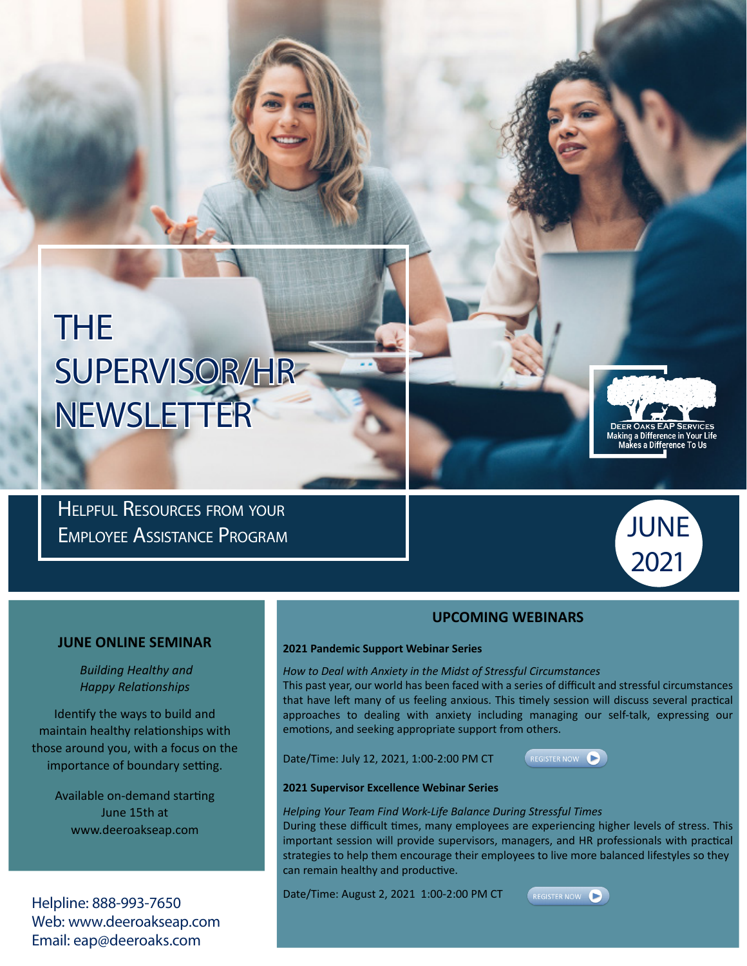# THE SUPERVISOR/HR NEWSLETTER

Helpful Resources from your Employee Assistance Program



Making a Difference in Your Life<br>Makes a Difference To Us

### **JUNE ONLINE SEMINAR**

 *Building Healthy and Happy Relationships* 

Identify the ways to build and maintain healthy relationships with those around you, with a focus on the importance of boundary setting.

> Available on-demand starting June 15th at www.deeroakseap.com

Helpline: 888-993-7650 Web: www.deeroakseap.com Email: eap@deeroaks.com

### **UPCOMING WEBINARS**

#### **2021 Pandemic Support Webinar Series**

*How to Deal with Anxiety in the Midst of Stressful Circumstances*

This past year, our world has been faced with a series of difficult and stressful circumstances that have left many of us feeling anxious. This timely session will discuss several practical approaches to dealing with anxiety including managing our self-talk, expressing our emotions, and seeking appropriate support from others.

Date/Time: July 12, 2021, 1:00-2:00 PM CT



### **2021 Supervisor Excellence Webinar Series**

*Helping Your Team Find Work-Life Balance During Stressful Times*

During these difficult times, many employees are experiencing higher levels of stress. This important session will provide supervisors, managers, and HR professionals with practical strategies to help them encourage their employees to live more balanced lifestyles so they can remain healthy and productive.

Date/Time: August 2, 2021 1:00-2:00 PM CT

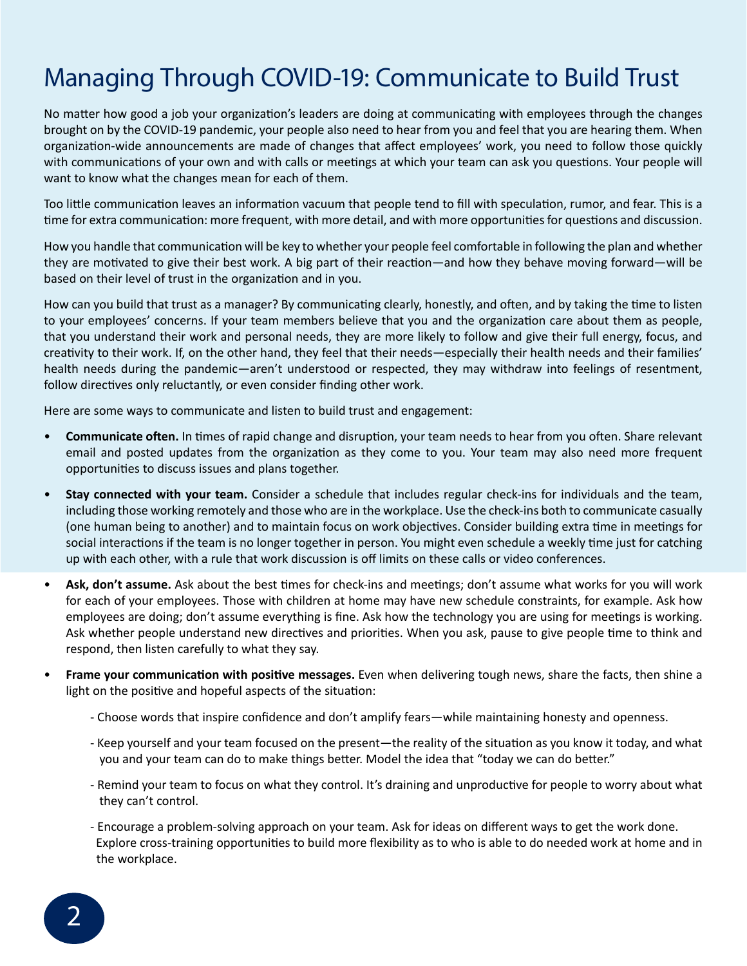## Managing Through COVID-19: Communicate to Build Trust

No matter how good a job your organization's leaders are doing at communicating with employees through the changes brought on by the COVID-19 pandemic, your people also need to hear from you and feel that you are hearing them. When organization-wide announcements are made of changes that affect employees' work, you need to follow those quickly with communications of your own and with calls or meetings at which your team can ask you questions. Your people will want to know what the changes mean for each of them.

Too little communication leaves an information vacuum that people tend to fill with speculation, rumor, and fear. This is a time for extra communication: more frequent, with more detail, and with more opportunities for questions and discussion.

How you handle that communication will be key to whether your people feel comfortable in following the plan and whether they are motivated to give their best work. A big part of their reaction—and how they behave moving forward—will be based on their level of trust in the organization and in you.

How can you build that trust as a manager? By communicating clearly, honestly, and often, and by taking the time to listen to your employees' concerns. If your team members believe that you and the organization care about them as people, that you understand their work and personal needs, they are more likely to follow and give their full energy, focus, and creativity to their work. If, on the other hand, they feel that their needs—especially their health needs and their families' health needs during the pandemic—aren't understood or respected, they may withdraw into feelings of resentment, follow directives only reluctantly, or even consider finding other work.

Here are some ways to communicate and listen to build trust and engagement:

- **Communicate often.** In times of rapid change and disruption, your team needs to hear from you often. Share relevant email and posted updates from the organization as they come to you. Your team may also need more frequent opportunities to discuss issues and plans together.
- **Stay connected with your team.** Consider a schedule that includes regular check-ins for individuals and the team, including those working remotely and those who are in the workplace. Use the check-ins both to communicate casually (one human being to another) and to maintain focus on work objectives. Consider building extra time in meetings for social interactions if the team is no longer together in person. You might even schedule a weekly time just for catching up with each other, with a rule that work discussion is off limits on these calls or video conferences.
- **Ask, don't assume.** Ask about the best times for check-ins and meetings; don't assume what works for you will work for each of your employees. Those with children at home may have new schedule constraints, for example. Ask how employees are doing; don't assume everything is fine. Ask how the technology you are using for meetings is working. Ask whether people understand new directives and priorities. When you ask, pause to give people time to think and respond, then listen carefully to what they say.
- **Frame your communication with positive messages.** Even when delivering tough news, share the facts, then shine a light on the positive and hopeful aspects of the situation:
	- Choose words that inspire confidence and don't amplify fears—while maintaining honesty and openness.
	- Keep yourself and your team focused on the present—the reality of the situation as you know it today, and what you and your team can do to make things better. Model the idea that "today we can do better."
	- Remind your team to focus on what they control. It's draining and unproductive for people to worry about what they can't control.
	- Encourage a problem-solving approach on your team. Ask for ideas on different ways to get the work done. Explore cross-training opportunities to build more flexibility as to who is able to do needed work at home and in the workplace.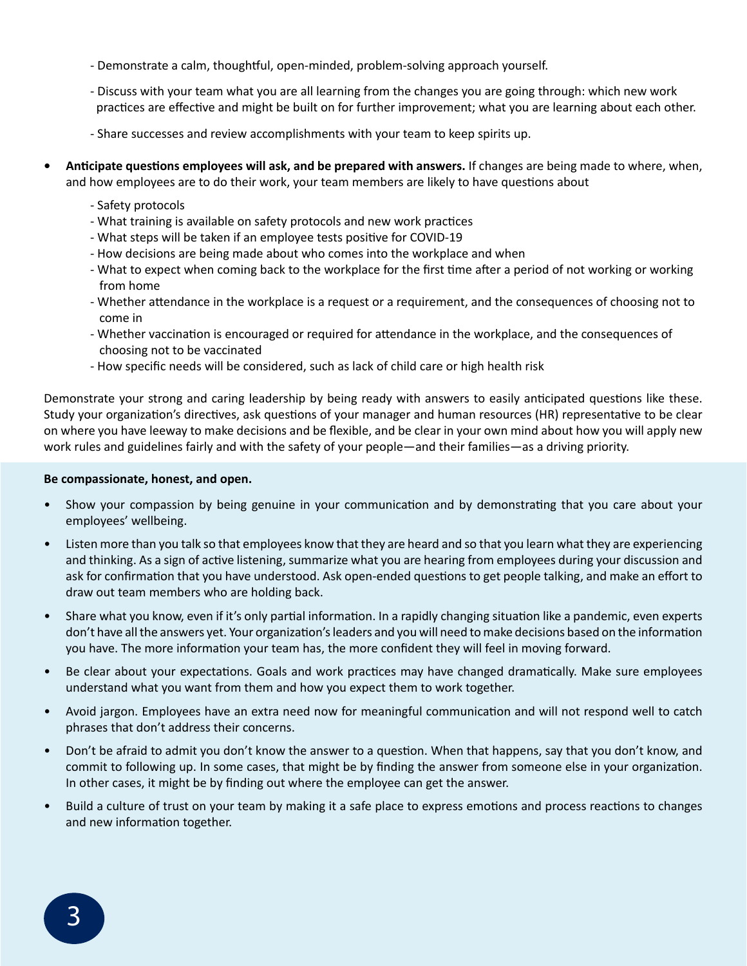- Demonstrate a calm, thoughtful, open-minded, problem-solving approach yourself.
- Discuss with your team what you are all learning from the changes you are going through: which new work practices are effective and might be built on for further improvement; what you are learning about each other.
- Share successes and review accomplishments with your team to keep spirits up.
- **• Anticipate questions employees will ask, and be prepared with answers.** If changes are being made to where, when, and how employees are to do their work, your team members are likely to have questions about
	- Safety protocols
	- What training is available on safety protocols and new work practices
	- What steps will be taken if an employee tests positive for COVID-19
	- How decisions are being made about who comes into the workplace and when
	- What to expect when coming back to the workplace for the first time after a period of not working or working from home
	- Whether attendance in the workplace is a request or a requirement, and the consequences of choosing not to come in
	- Whether vaccination is encouraged or required for attendance in the workplace, and the consequences of choosing not to be vaccinated
	- How specific needs will be considered, such as lack of child care or high health risk

Demonstrate your strong and caring leadership by being ready with answers to easily anticipated questions like these. Study your organization's directives, ask questions of your manager and human resources (HR) representative to be clear on where you have leeway to make decisions and be flexible, and be clear in your own mind about how you will apply new work rules and guidelines fairly and with the safety of your people—and their families—as a driving priority.

### **Be compassionate, honest, and open.**

- Show your compassion by being genuine in your communication and by demonstrating that you care about your employees' wellbeing.
- Listen more than you talk so that employees know that they are heard and so that you learn what they are experiencing and thinking. As a sign of active listening, summarize what you are hearing from employees during your discussion and ask for confirmation that you have understood. Ask open-ended questions to get people talking, and make an effort to draw out team members who are holding back.
- Share what you know, even if it's only partial information. In a rapidly changing situation like a pandemic, even experts don't have all the answers yet. Your organization's leaders and you will need to make decisions based on the information you have. The more information your team has, the more confident they will feel in moving forward.
- Be clear about your expectations. Goals and work practices may have changed dramatically. Make sure employees understand what you want from them and how you expect them to work together.
- Avoid jargon. Employees have an extra need now for meaningful communication and will not respond well to catch phrases that don't address their concerns.
- Don't be afraid to admit you don't know the answer to a question. When that happens, say that you don't know, and commit to following up. In some cases, that might be by finding the answer from someone else in your organization. In other cases, it might be by finding out where the employee can get the answer.
- Build a culture of trust on your team by making it a safe place to express emotions and process reactions to changes and new information together.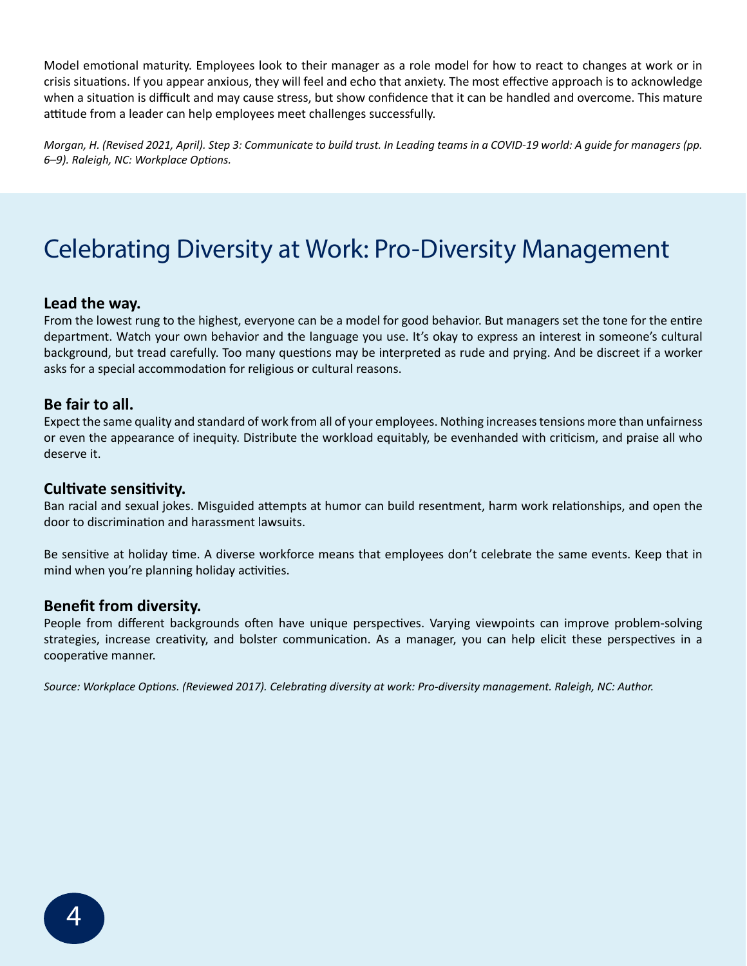Model emotional maturity. Employees look to their manager as a role model for how to react to changes at work or in crisis situations. If you appear anxious, they will feel and echo that anxiety. The most effective approach is to acknowledge when a situation is difficult and may cause stress, but show confidence that it can be handled and overcome. This mature attitude from a leader can help employees meet challenges successfully.

*Morgan, H. (Revised 2021, April). Step 3: Communicate to build trust. In Leading teams in a COVID-19 world: A guide for managers (pp. 6–9). Raleigh, NC: Workplace Options.*

### Celebrating Diversity at Work: Pro-Diversity Management

### **Lead the way.**

From the lowest rung to the highest, everyone can be a model for good behavior. But managers set the tone for the entire department. Watch your own behavior and the language you use. It's okay to express an interest in someone's cultural background, but tread carefully. Too many questions may be interpreted as rude and prying. And be discreet if a worker asks for a special accommodation for religious or cultural reasons.

### **Be fair to all.**

Expect the same quality and standard of work from all of your employees. Nothing increases tensions more than unfairness or even the appearance of inequity. Distribute the workload equitably, be evenhanded with criticism, and praise all who deserve it.

### **Cultivate sensitivity.**

Ban racial and sexual jokes. Misguided attempts at humor can build resentment, harm work relationships, and open the door to discrimination and harassment lawsuits.

Be sensitive at holiday time. A diverse workforce means that employees don't celebrate the same events. Keep that in mind when you're planning holiday activities.

### **Benefit from diversity.**

People from different backgrounds often have unique perspectives. Varying viewpoints can improve problem-solving strategies, increase creativity, and bolster communication. As a manager, you can help elicit these perspectives in a cooperative manner.

*Source: Workplace Options. (Reviewed 2017). Celebrating diversity at work: Pro-diversity management. Raleigh, NC: Author.*